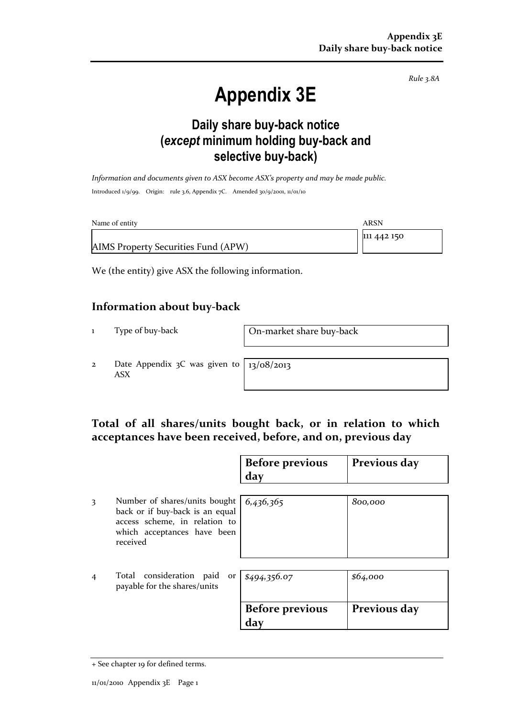Rule 3.8A

# Appendix 3E

### Daily share buy-back notice (except minimum holding buy-back and selective buy-back)

Information and documents given to ASX become ASX's property and may be made public. Introduced 1/9/99. Origin: rule 3.6, Appendix 7C. Amended 30/9/2001, 11/01/10

| Name of entity                      | ARSN        |
|-------------------------------------|-------------|
|                                     | 111 442 150 |
| AIMS Property Securities Fund (APW) |             |

We (the entity) give ASX the following information.

#### Information about buy-back

1 Type of buy-back On-market share buy-back

2 Date Appendix 3C was given to ASX

13/08/2013

#### Total of all shares/units bought back, or in relation to which acceptances have been received, before, and on, previous day

|                |                                                                                                                                              | <b>Before previous</b><br>day | Previous day |
|----------------|----------------------------------------------------------------------------------------------------------------------------------------------|-------------------------------|--------------|
| 3              | Number of shares/units bought<br>back or if buy-back is an equal<br>access scheme, in relation to<br>which acceptances have been<br>received | 6,436,365                     | 800,000      |
| $\overline{4}$ | Total consideration paid<br>payable for the shares/units                                                                                     | or $$494,356.07$              | \$64,000     |
|                |                                                                                                                                              | <b>Before previous</b><br>day | Previous day |

<sup>+</sup> See chapter 19 for defined terms.